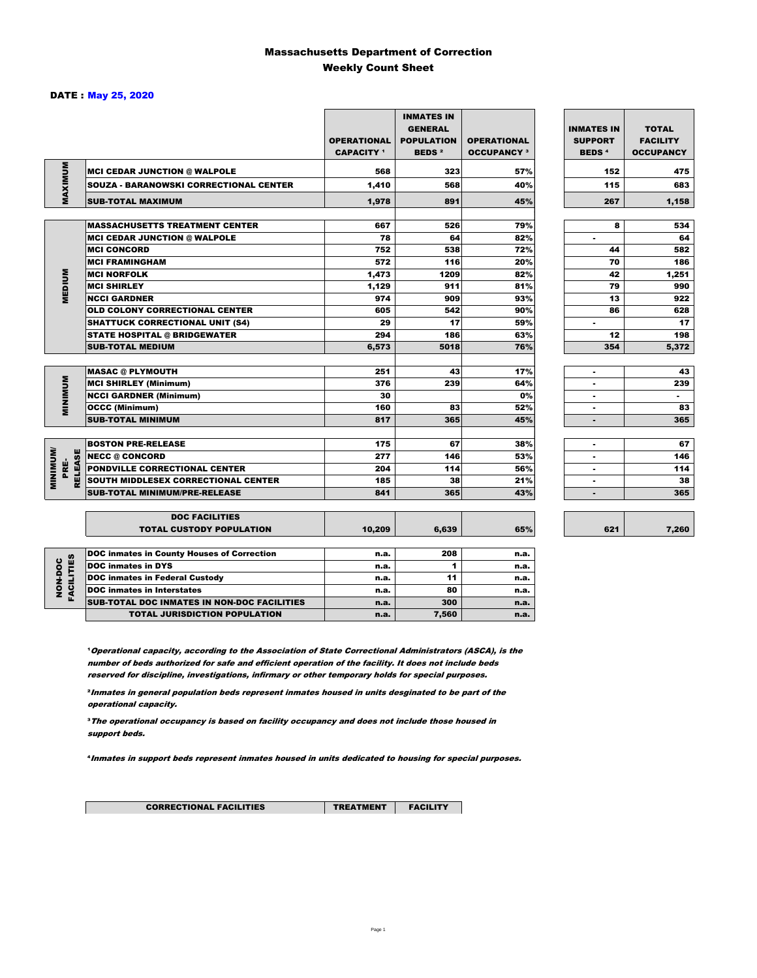### Massachusetts Department of Correction Weekly Count Sheet

### DATE : May 25, 2020

|                                           |                                                   | <b>OPERATIONAL</b><br><b>CAPACITY 1</b> | <b>INMATES IN</b><br><b>GENERAL</b><br><b>POPULATION</b><br><b>BEDS<sup>2</sup></b> | <b>OPERATIONAL</b><br><b>OCCUPANCY 3</b> | <b>INMATES IN</b><br><b>SUPPORT</b><br><b>BEDS<sup>4</sup></b> | <b>TOTAL</b><br><b>FACILITY</b><br><b>OCCUPANCY</b> |
|-------------------------------------------|---------------------------------------------------|-----------------------------------------|-------------------------------------------------------------------------------------|------------------------------------------|----------------------------------------------------------------|-----------------------------------------------------|
|                                           | <b>MCI CEDAR JUNCTION @ WALPOLE</b>               | 568                                     | 323                                                                                 | 57%                                      | 152                                                            | 475                                                 |
|                                           | <b>SOUZA - BARANOWSKI CORRECTIONAL CENTER</b>     | 1,410                                   | 568                                                                                 | 40%                                      | 115                                                            | 683                                                 |
| MAXIMUM                                   | <b>SUB-TOTAL MAXIMUM</b>                          | 1,978                                   | 891                                                                                 | 45%                                      | 267                                                            | 1,158                                               |
|                                           |                                                   |                                         |                                                                                     |                                          |                                                                |                                                     |
|                                           | <b>MASSACHUSETTS TREATMENT CENTER</b>             | 667                                     | 526                                                                                 | 79%                                      | 8                                                              | 534                                                 |
|                                           | <b>MCI CEDAR JUNCTION @ WALPOLE</b>               | 78                                      | 64                                                                                  | 82%                                      | ٠                                                              | 64                                                  |
|                                           | <b>MCI CONCORD</b>                                | 752                                     | 538                                                                                 | 72%                                      | 44                                                             | 582                                                 |
|                                           | <b>MCI FRAMINGHAM</b>                             | 572                                     | 116                                                                                 | 20%                                      | 70                                                             | 186                                                 |
|                                           | <b>MCI NORFOLK</b>                                | 1,473                                   | 1209                                                                                | 82%                                      | 42                                                             | 1,251                                               |
| <b>MEDIUM</b>                             | <b>MCI SHIRLEY</b>                                | 1,129                                   | 911                                                                                 | 81%                                      | 79                                                             | 990                                                 |
|                                           | <b>NCCI GARDNER</b>                               | 974                                     | 909                                                                                 | 93%                                      | 13                                                             | 922                                                 |
|                                           | <b>OLD COLONY CORRECTIONAL CENTER</b>             | 605                                     | 542                                                                                 | 90%                                      | 86                                                             | 628                                                 |
|                                           | <b>SHATTUCK CORRECTIONAL UNIT (S4)</b>            | 29                                      | 17                                                                                  | 59%                                      | $\overline{\phantom{a}}$                                       | 17                                                  |
|                                           | <b>STATE HOSPITAL @ BRIDGEWATER</b>               | 294                                     | 186                                                                                 | 63%                                      | 12                                                             | 198                                                 |
|                                           | <b>SUB-TOTAL MEDIUM</b>                           | 6,573                                   | 5018                                                                                | 76%                                      | 354                                                            | 5,372                                               |
|                                           | <b>MASAC @ PLYMOUTH</b>                           | 251                                     | 43                                                                                  | 17%                                      |                                                                | 43                                                  |
|                                           | <b>MCI SHIRLEY (Minimum)</b>                      | 376                                     | 239                                                                                 | 64%                                      |                                                                | 239                                                 |
| <b>MINIMUM</b>                            | <b>NCCI GARDNER (Minimum)</b>                     | 30                                      |                                                                                     | 0%                                       | ٠                                                              | $\sim$                                              |
|                                           | <b>OCCC (Minimum)</b>                             | 160                                     | 83                                                                                  | 52%                                      | ٠                                                              | 83                                                  |
|                                           | <b>SUB-TOTAL MINIMUM</b>                          | 817                                     | 365                                                                                 | 45%                                      | $\blacksquare$                                                 | 365                                                 |
|                                           |                                                   |                                         |                                                                                     |                                          |                                                                |                                                     |
|                                           | <b>BOSTON PRE-RELEASE</b>                         | 175                                     | 67                                                                                  | 38%                                      | $\blacksquare$                                                 | 67                                                  |
|                                           | <b>NECC @ CONCORD</b>                             | 277                                     | 146                                                                                 | 53%                                      |                                                                | 146                                                 |
| <b>MINIMINI</b><br><b>RELEASE</b><br>PRE- | PONDVILLE CORRECTIONAL CENTER                     | 204                                     | 114                                                                                 | 56%                                      | ٠                                                              | 114                                                 |
|                                           | SOUTH MIDDLESEX CORRECTIONAL CENTER               | 185                                     | 38                                                                                  | 21%                                      | ٠                                                              | 38                                                  |
|                                           | <b>SUB-TOTAL MINIMUM/PRE-RELEASE</b>              | 841                                     | 365                                                                                 | 43%                                      | $\blacksquare$                                                 | 365                                                 |
|                                           | <b>DOC FACILITIES</b>                             |                                         |                                                                                     |                                          |                                                                |                                                     |
|                                           | <b>TOTAL CUSTODY POPULATION</b>                   | 10,209                                  | 6,639                                                                               | 65%                                      | 621                                                            | 7,260                                               |
|                                           | <b>DOC inmates in County Houses of Correction</b> | n.a.                                    | 208                                                                                 | n.a.                                     |                                                                |                                                     |
| <b>FACILITIES</b>                         | <b>DOC inmates in DYS</b>                         | n.a.                                    | 1                                                                                   | n.a.                                     |                                                                |                                                     |
|                                           | <b>DOC inmates in Federal Custody</b>             | n.a.                                    | 11                                                                                  | n.a.                                     |                                                                |                                                     |
| NON-DOC                                   | <b>DOC</b> inmates in Interstates                 | n.a.                                    | 80                                                                                  | n.a.                                     |                                                                |                                                     |
|                                           | CUR TOTAL BOO INIMETED IN NON-BOO FACULTIED       |                                         | 200                                                                                 |                                          |                                                                |                                                     |

**Operational capacity, according to the Association of State Correctional Administrators (ASCA), is the** number of beds authorized for safe and efficient operation of the facility. It does not include beds reserved for discipline, investigations, infirmary or other temporary holds for special purposes.

SUB-TOTAL DOC INMATES IN NON-DOC FACILITIES n.a. 300 n.a. TOTAL JURISDICTION POPULATION **n.a.** 7,560 n.a.

²Inmates in general population beds represent inmates housed in units desginated to be part of the operational capacity.

³The operational occupancy is based on facility occupancy and does not include those housed in support beds.

⁴Inmates in support beds represent inmates housed in units dedicated to housing for special purposes.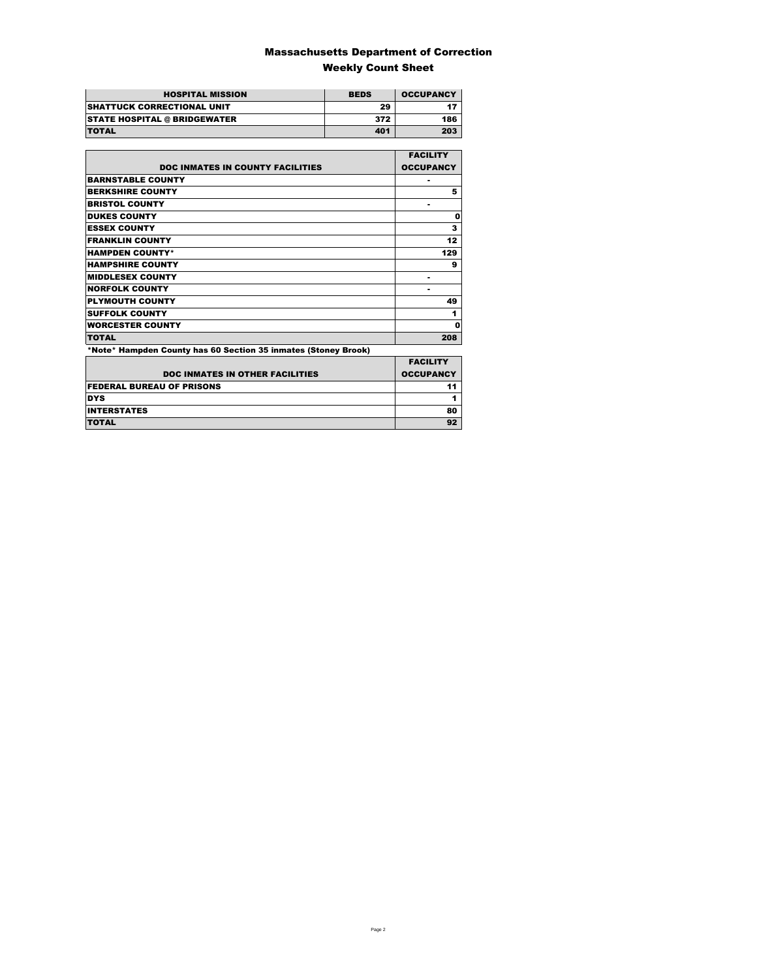### Massachusetts Department of Correction Weekly Count Sheet

| <b>HOSPITAL MISSION</b>             | <b>BEDS</b> | <b>OCCUPANCY</b> |
|-------------------------------------|-------------|------------------|
| <b>SHATTUCK CORRECTIONAL UNIT</b>   | 29          |                  |
| <b>STATE HOSPITAL @ BRIDGEWATER</b> | 372         | 186              |
| <b>TOTAL</b>                        | 401         | 203              |

|                                                                | <b>FACILITY</b>  |
|----------------------------------------------------------------|------------------|
| <b>DOC INMATES IN COUNTY FACILITIES</b>                        | <b>OCCUPANCY</b> |
| <b>BARNSTABLE COUNTY</b>                                       |                  |
| <b>BERKSHIRE COUNTY</b>                                        | 5                |
| <b>BRISTOL COUNTY</b>                                          |                  |
| <b>DUKES COUNTY</b>                                            | Ω                |
| <b>ESSEX COUNTY</b>                                            | 3                |
| <b>FRANKLIN COUNTY</b>                                         | 12               |
| <b>HAMPDEN COUNTY*</b>                                         | 129              |
| <b>HAMPSHIRE COUNTY</b>                                        | 9                |
| <b>MIDDLESEX COUNTY</b>                                        |                  |
| <b>NORFOLK COUNTY</b>                                          |                  |
| <b>PLYMOUTH COUNTY</b>                                         | 49               |
| <b>SUFFOLK COUNTY</b>                                          | 1                |
| <b>WORCESTER COUNTY</b>                                        | Ω                |
| <b>TOTAL</b>                                                   | 208              |
| *Note* Hampden County has 60 Section 35 inmates (Stoney Brook) |                  |
|                                                                | EACH ITV         |

| <b>DOC INMATES IN OTHER FACILITIES</b> | <b>FACILITY</b><br><b>OCCUPANCY</b> |
|----------------------------------------|-------------------------------------|
| <b>FEDERAL BUREAU OF PRISONS</b>       |                                     |
| <b>DYS</b>                             |                                     |
| <b>INTERSTATES</b>                     | 80                                  |
| <b>TOTAL</b>                           | 92                                  |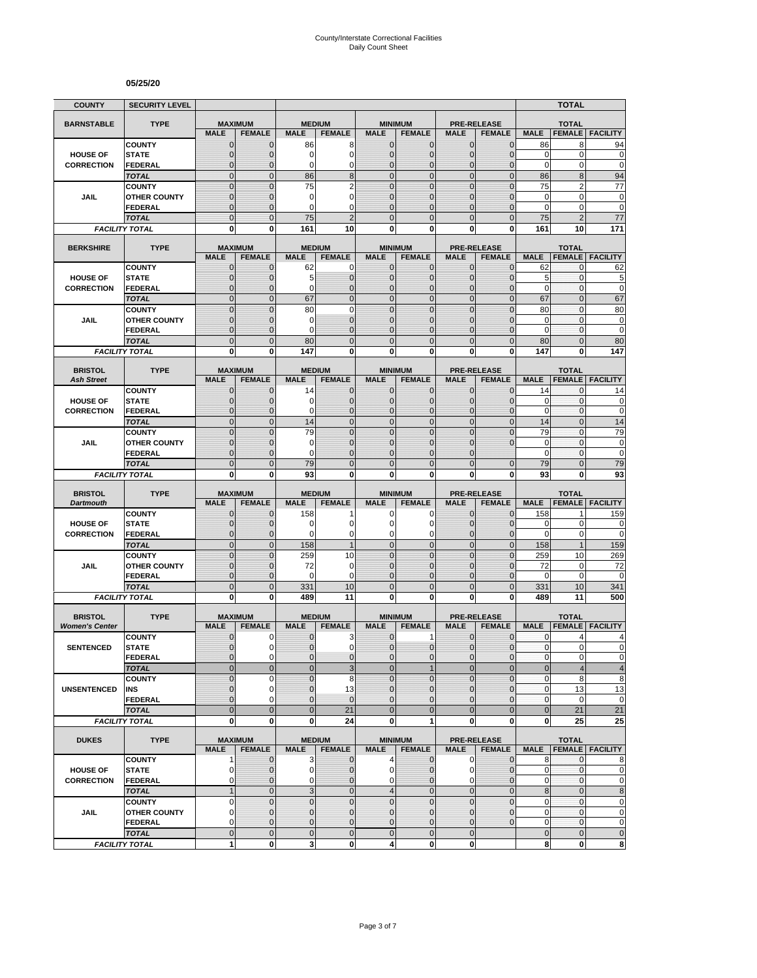#### **05/25/20**

| <b>COUNTY</b>                        | <b>SECURITY LEVEL</b>                 |                                  |                                 |                             |                                  |                               |                                  |                             |                                     |                        | <b>TOTAL</b>                  |                                                                                        |
|--------------------------------------|---------------------------------------|----------------------------------|---------------------------------|-----------------------------|----------------------------------|-------------------------------|----------------------------------|-----------------------------|-------------------------------------|------------------------|-------------------------------|----------------------------------------------------------------------------------------|
| <b>BARNSTABLE</b>                    | <b>TYPE</b>                           | <b>MAXIMUM</b>                   |                                 | <b>MEDIUM</b>               |                                  |                               | <b>MINIMUM</b>                   |                             | <b>PRE-RELEASE</b>                  |                        | <b>TOTAL</b>                  |                                                                                        |
|                                      |                                       | <b>MALE</b>                      | <b>FEMALE</b>                   | <b>MALE</b>                 | <b>FEMALE</b>                    | <b>MALE</b>                   | <b>FEMALE</b>                    | <b>MALE</b>                 | <b>FEMALE</b>                       | <b>MALE</b>            | <b>FEMALE</b>                 | <b>FACILITY</b>                                                                        |
|                                      | <b>COUNTY</b>                         | $\mathbf 0$                      | $\mathbf{0}$                    | 86                          | 8                                | $\mathbf 0$                   | 0                                | $\mathbf{0}$                | $\mathbf{0}$                        | 86                     | 8                             | 94                                                                                     |
| <b>HOUSE OF</b>                      | <b>STATE</b>                          | $\mathbf{0}$                     | $\mathbf 0$                     | 0                           | $\overline{0}$                   | $\mathbf 0$                   | $\overline{0}$                   | $\mathbf{0}$                | $\overline{0}$                      | $\mathbf 0$            | $\mathbf 0$                   | $\mathbf 0$                                                                            |
| <b>CORRECTION</b>                    | FEDERAL                               | $\mathbf 0$<br>$\mathbf 0$       | $\mathbf{0}$<br>$\mathbf{0}$    | 0<br>86                     | 0<br>8                           | $\mathbf 0$<br>$\overline{0}$ | $\mathbf 0$<br>$\mathbf 0$       | $\mathbf 0$<br>$\mathbf{0}$ | $\overline{0}$<br>$\mathbf 0$       | $\mathbf 0$<br>86      | 0<br>8                        | $\mathbf 0$<br>94                                                                      |
|                                      | <b>TOTAL</b><br><b>COUNTY</b>         | $\mathbf 0$                      | $\mathbf{0}$                    | 75                          | $\overline{2}$                   | $\overline{0}$                | $\mathbf 0$                      | $\mathbf 0$                 | $\overline{0}$                      | 75                     | $\overline{2}$                | 77                                                                                     |
| JAIL                                 | <b>OTHER COUNTY</b>                   | $\mathbf 0$                      | $\mathbf{0}$                    | 0                           | $\overline{0}$                   | $\mathbf{0}$                  | $\overline{0}$                   | $\mathbf 0$                 | $\overline{0}$                      | $\mathbf 0$            | $\mathbf 0$                   | $\bf{0}$                                                                               |
|                                      | <b>FEDERAL</b>                        | $\mathbf 0$                      | $\mathbf{0}$                    | 0                           | $\Omega$                         | $\Omega$                      | $\overline{0}$                   | $\Omega$                    | $\Omega$                            | $\mathbf 0$            | 0                             | $\mathbf 0$                                                                            |
|                                      | <b>TOTAL</b>                          | $\overline{0}$                   | $\Omega$                        | 75                          | $\overline{2}$                   | $\Omega$                      | $\overline{0}$                   | $\Omega$                    | $\overline{0}$                      | 75                     | $\overline{2}$                | 77                                                                                     |
|                                      | <b>FACILITY TOTAL</b>                 | 0                                | 0                               | 161                         | 10                               | $\mathbf{0}$                  | 0                                | 0                           | 0                                   | 161                    | 10                            | 171                                                                                    |
| <b>BERKSHIRE</b>                     | <b>TYPE</b>                           |                                  | <b>MAXIMUM</b>                  |                             | <b>MEDIUM</b>                    |                               | <b>MINIMUM</b>                   |                             | <b>PRE-RELEASE</b>                  |                        | <b>TOTAL</b>                  |                                                                                        |
|                                      |                                       | <b>MALE</b>                      | <b>FEMALE</b>                   | <b>MALE</b>                 | <b>FEMALE</b>                    | <b>MALE</b>                   | <b>FEMALE</b>                    | <b>MALE</b>                 | <b>FEMALE</b>                       | <b>MALE</b>            | <b>FEMALE</b>                 | <b>FACILITY</b>                                                                        |
|                                      | <b>COUNTY</b>                         | $\mathbf{0}$                     | $\mathbf 0$                     | 62                          | 0                                | $\mathbf{0}$                  | $\mathbf{0}$                     | $\mathbf{0}$                | $\mathbf 0$                         | 62                     | 0                             | 62                                                                                     |
| <b>HOUSE OF</b>                      | <b>STATE</b>                          | 0                                | $\mathbf{0}$                    | 5                           | $\mathbf 0$                      | $\mathbf{0}$                  | $\mathbf 0$                      | $\mathbf{0}$                | $\mathbf{0}$                        | 5                      | 0                             | 5                                                                                      |
| <b>CORRECTION</b>                    | <b>FEDERAL</b>                        | $\mathbf 0$                      | $\mathbf 0$                     | 0                           | $\overline{0}$                   | $\mathbf{0}$                  | $\overline{0}$                   | $\mathbf{0}$                | $\overline{0}$                      | $\mathbf 0$            | 0                             | $\mathbf 0$                                                                            |
|                                      | <b>TOTAL</b>                          | $\overline{0}$                   | $\mathbf{0}$                    | 67                          | $\overline{0}$                   | $\overline{0}$                | $\overline{0}$                   | $\mathbf{0}$                | $\overline{0}$                      | 67                     | $\overline{0}$                | 67                                                                                     |
| <b>JAIL</b>                          | <b>COUNTY</b><br><b>OTHER COUNTY</b>  | $\overline{0}$<br>0              | $\overline{0}$<br>$\mathbf{0}$  | 80<br>0                     | $\overline{0}$<br>$\overline{0}$ | $\mathbf 0$<br>$\Omega$       | $\overline{0}$<br>$\mathbf 0$    | $\overline{0}$<br>$\Omega$  | $\overline{0}$<br>$\mathbf{0}$      | 80<br>0                | $\mathbf{0}$<br>$\mathbf{0}$  | 80<br>$\pmb{0}$                                                                        |
|                                      | <b>FEDERAL</b>                        | $\mathbf 0$                      | $\mathbf{0}$                    | 0                           | $\overline{0}$                   | $\mathbf{0}$                  | $\overline{0}$                   | $\mathbf 0$                 | $\overline{0}$                      | $\mathbf 0$            | $\mathbf{0}$                  | $\mathbf 0$                                                                            |
|                                      | <b>TOTAL</b>                          | $\mathbf 0$                      | $\mathbf{0}$                    | 80                          | $\overline{0}$                   | $\mathbf{0}$                  | $\mathbf 0$                      | $\mathbf{0}$                | $\mathbf 0$                         | 80                     | $\overline{0}$                | 80                                                                                     |
|                                      | <b>FACILITY TOTAL</b>                 | 0                                | $\bf{0}$                        | 147                         | 0                                | 0                             | $\bf{0}$                         | 0                           | 0                                   | 147                    | 0                             | 147                                                                                    |
|                                      |                                       |                                  |                                 |                             |                                  |                               |                                  |                             |                                     |                        |                               |                                                                                        |
| <b>BRISTOL</b><br><b>Ash Street</b>  | <b>TYPE</b>                           | <b>MAXIMUM</b><br><b>MALE</b>    | <b>FEMALE</b>                   | <b>MALE</b>                 | <b>MEDIUM</b><br><b>FEMALE</b>   | <b>MALE</b>                   | <b>MINIMUM</b><br><b>FEMALE</b>  | <b>MALE</b>                 | <b>PRE-RELEASE</b><br><b>FEMALE</b> | <b>MALE</b>            | <b>TOTAL</b><br><b>FEMALE</b> | <b>FACILITY</b>                                                                        |
|                                      | <b>COUNTY</b>                         | 0                                | $\mathbf{0}$                    | 14                          | $\mathbf 0$                      | $\mathbf 0$                   | 0                                | $\mathbf{0}$                | $\mathbf{0}$                        | 14                     | 0                             | 14                                                                                     |
| <b>HOUSE OF</b>                      | <b>STATE</b>                          | $\mathbf{0}$                     | $\mathbf{0}$                    | 0                           | $\mathbf 0$                      | $\mathbf{0}$                  | $\mathbf{0}$                     | $\mathbf{0}$                | $\mathbf{0}$                        | 0                      | 0                             | 0                                                                                      |
| <b>CORRECTION</b>                    | <b>FEDERAL</b>                        | $\mathbf{0}$                     | $\mathbf{0}$                    | 0                           | $\overline{0}$                   | $\mathbf{0}$                  | $\mathbf{0}$                     | $\mathbf{0}$                | $\overline{0}$                      | $\mathbf 0$            | 0                             | $\mathbf 0$                                                                            |
|                                      | <b>TOTAL</b>                          | $\overline{0}$                   | $\mathbf{0}$                    | 14                          | $\overline{0}$                   | $\mathbf 0$                   | $\overline{0}$                   | $\mathbf{0}$                | $\overline{0}$                      | 14                     | $\overline{0}$                | 14                                                                                     |
|                                      | <b>COUNTY</b>                         | $\overline{0}$                   | $\Omega$                        | 79                          | $\overline{0}$                   | $\mathbf 0$                   | $\overline{0}$                   | $\overline{0}$              | $\overline{0}$                      | 79                     | $\overline{0}$                | 79                                                                                     |
| JAIL                                 | <b>OTHER COUNTY</b>                   | $\mathbf 0$                      | $\mathbf 0$                     | 0                           | $\overline{0}$                   | $\mathbf{0}$                  | $\overline{0}$                   | $\mathbf 0$                 | $\overline{0}$                      | $\mathbf 0$            | $\mathbf{0}$                  | $\mathbf 0$                                                                            |
|                                      | <b>FEDERAL</b><br><b>TOTAL</b>        | $\overline{0}$<br>$\overline{0}$ | $\mathbf{0}$<br>$\mathbf{0}$    | 0<br>79                     | $\overline{0}$<br>$\overline{0}$ | $\Omega$<br>$\overline{0}$    | $\overline{0}$<br>$\overline{0}$ | $\Omega$<br>$\overline{0}$  | $\mathbf{0}$                        | $\mathbf 0$<br>79      | 0<br>$\overline{0}$           | $\mathbf 0$<br>79                                                                      |
|                                      | <b>FACILITY TOTAL</b>                 | 0                                | 0                               | 93                          | 0                                | 0                             | 0                                | 0                           | 0                                   | 93                     | 0                             | 93                                                                                     |
|                                      |                                       |                                  |                                 |                             |                                  |                               |                                  |                             |                                     |                        |                               |                                                                                        |
|                                      |                                       |                                  |                                 |                             |                                  |                               |                                  |                             |                                     |                        |                               |                                                                                        |
| <b>BRISTOL</b>                       | <b>TYPE</b>                           |                                  | <b>MAXIMUM</b>                  |                             | <b>MEDIUM</b>                    |                               | <b>MINIMUM</b>                   |                             | <b>PRE-RELEASE</b>                  |                        | <b>TOTAL</b>                  |                                                                                        |
| <b>Dartmouth</b>                     |                                       | <b>MALE</b>                      | <b>FEMALE</b>                   | <b>MALE</b>                 | <b>FEMALE</b>                    | <b>MALE</b>                   | <b>FEMALE</b>                    | <b>MALE</b>                 | <b>FEMALE</b>                       | <b>MALE</b>            | <b>FEMALE</b>                 | <b>FACILITY</b>                                                                        |
|                                      | <b>COUNTY</b>                         | $\mathbf 0$                      | $\mathbf 0$                     | 158                         |                                  | 0                             | 0                                | $\mathbf 0$                 | $\overline{0}$                      | 158                    | 1                             | 159                                                                                    |
| <b>HOUSE OF</b><br><b>CORRECTION</b> | <b>STATE</b><br><b>FEDERAL</b>        | $\mathbf 0$<br>$\mathbf 0$       | $\mathbf{0}$<br>$\mathbf{0}$    | 0<br>0                      | 0<br>0                           | $\Omega$<br>$\mathbf 0$       | 0<br>0                           | $\Omega$<br>$\mathbf 0$     | $\mathbf{0}$<br>$\mathbf{0}$        | 0<br>$\mathbf 0$       | $\mathbf 0$<br>0              | 0                                                                                      |
|                                      | <b>TOTAL</b>                          | $\overline{0}$                   | $\mathbf{0}$                    | 158                         | $\overline{1}$                   | $\overline{0}$                | $\mathbf 0$                      | $\mathbf{0}$                | $\overline{0}$                      | 158                    | $\mathbf{1}$                  | 159                                                                                    |
|                                      | <b>COUNTY</b>                         | $\mathbf 0$                      | $\mathbf{0}$                    | 259                         | 10                               | $\mathbf{0}$                  | $\mathbf 0$                      | $\mathbf{0}$                | $\mathbf 0$                         | 259                    | 10                            | 269                                                                                    |
| JAIL                                 | <b>OTHER COUNTY</b>                   | $\overline{0}$                   | $\mathbf{0}$                    | 72                          | 0                                | $\mathbf{0}$                  | $\overline{0}$                   | $\Omega$                    | $\overline{0}$                      | 72                     | 0                             | 72                                                                                     |
|                                      | <b>FEDERAL</b>                        | $\mathbf 0$                      | $\mathbf{0}$                    | 0                           | 0                                | $\mathbf{0}$                  | 0                                | $\mathbf{0}$                | $\mathbf 0$                         | 0                      | $\mathbf 0$                   | $\mathbf 0$                                                                            |
|                                      | <b>TOTAL</b>                          | $\mathbf 0$                      | $\overline{0}$                  | 331                         | 10                               | $\mathbf 0$                   | $\mathbf 0$                      | $\overline{0}$              | $\mathbf 0$                         | 331                    | 10                            | 341                                                                                    |
|                                      | <b>FACILITY TOTAL</b>                 | $\mathbf{0}$                     | $\mathbf{0}$                    | 489                         | 11                               | $\mathbf{0}$                  | $\bf{0}$                         | 0                           | $\bf{0}$                            | 489                    | 11                            | 500                                                                                    |
| <b>BRISTOL</b>                       | <b>TYPE</b>                           |                                  | <b>MAXIMUM</b>                  |                             | <b>MEDIUM</b>                    |                               | <b>MINIMUM</b>                   |                             | <b>PRE-RELEASE</b>                  |                        | <b>TOTAL</b>                  |                                                                                        |
| <b>Women's Center</b>                |                                       | <b>MALE</b>                      | <b>FEMALE</b>                   | <b>MALE</b>                 | <b>FEMALE</b>                    | <b>MALE</b>                   | <b>FEMALE</b>                    | <b>MALE</b>                 | <b>FEMALE</b>                       | <b>MALE</b>            | <b>FEMALE</b>                 | <b>FACILITY</b>                                                                        |
|                                      | <b>COUNTY</b>                         | 0                                | 0                               | 0                           | 3                                | $\mathbf 0$                   | 1                                | 0                           | $\mathbf 0$                         | 0                      | 4                             | 4                                                                                      |
| <b>SENTENCED</b>                     | <b>STATE</b>                          | $\overline{0}$                   | $\Omega$                        | $\overline{0}$              | 0                                | $\overline{0}$                | $\mathbf 0$                      | $\mathbf{0}$                | $\mathbf{0}$                        | $\mathbf{0}$           | $\overline{0}$                |                                                                                        |
|                                      | <b>FEDERAL</b>                        | 0                                | $\mathbf 0$                     | 0                           | 0                                | $\mathbf{0}$                  | $\mathbf 0$                      | $\mathbf 0$                 | $\mathbf 0$                         | $\pmb{0}$              | 0                             |                                                                                        |
|                                      | <b>TOTAL</b>                          | $\mathbf 0$                      | $\mathbf{0}$                    | $\overline{0}$              | 3                                | $\mathbf{0}$<br>$\Omega$      | $\mathbf{1}$                     | $\mathbf{0}$                | $\mathbf 0$                         | $\bf 0$                | 4                             |                                                                                        |
| <b>UNSENTENCED</b>                   | <b>COUNTY</b><br>INS                  | $\mathbf 0$<br>0                 | 0<br>$\mathbf 0$                | $\overline{0}$<br>$\pmb{0}$ | 8<br>13                          | $\mathbf 0$                   | $\mathbf 0$<br>0                 | $\mathbf 0$<br>$\mathbf{0}$ | $\mathbf 0$<br>$\mathbf 0$          | $\pmb{0}$<br>$\pmb{0}$ | 8<br>13                       |                                                                                        |
|                                      | <b>FEDERAL</b>                        | $\overline{0}$                   | $\Omega$                        | $\mathbf 0$                 | $\mathbf 0$                      | $\mathbf{0}$                  | $\overline{0}$                   | $\mathbf{0}$                | $\mathbf 0$                         | $\pmb{0}$              | 0                             |                                                                                        |
|                                      | <b>TOTAL</b>                          | $\overline{0}$                   | $\mathbf{0}$                    | $\mathbf 0$                 | 21                               | $\overline{0}$                | $\overline{0}$                   | $\overline{0}$              | $\mathbf 0$                         | $\bf 0$                | 21                            | $\mathbf 0$<br>$\Omega$<br>$\pmb{0}$<br>4<br>8<br>13<br>$\pmb{0}$<br>21                |
|                                      | <b>FACILITY TOTAL</b>                 | 0                                | $\mathbf{0}$                    | 0                           | 24                               | $\mathbf{0}$                  | 1                                | $\mathbf 0$                 | 0                                   | 0                      | 25                            |                                                                                        |
|                                      |                                       |                                  |                                 |                             |                                  |                               |                                  |                             |                                     |                        |                               | 25                                                                                     |
| <b>DUKES</b>                         | <b>TYPE</b>                           | <b>MALE</b>                      | <b>MAXIMUM</b><br><b>FEMALE</b> | <b>MALE</b>                 | <b>MEDIUM</b><br><b>FEMALE</b>   | <b>MALE</b>                   | <b>MINIMUM</b><br><b>FEMALE</b>  | <b>MALE</b>                 | <b>PRE-RELEASE</b><br><b>FEMALE</b> | <b>MALE</b>            | <b>TOTAL</b>                  | <b>FEMALE FACILITY</b>                                                                 |
|                                      | <b>COUNTY</b>                         | 1                                | $\mathbf{0}$                    | 3                           | $\mathbf 0$                      | $\overline{4}$                | $\mathbf 0$                      | $\mathbf 0$                 | $\mathbf 0$                         | 8                      | $\mathbf{0}$                  |                                                                                        |
| <b>HOUSE OF</b>                      | <b>STATE</b>                          | 0                                | 0                               | 0                           | $\mathbf 0$                      | $\mathbf{0}$                  | 0                                | 0                           | $\mathbf 0$                         | 0                      | 0                             |                                                                                        |
| <b>CORRECTION</b>                    | <b>FEDERAL</b>                        | 0                                | $\mathbf{0}$                    | 0                           | $\mathbf 0$                      | $\mathbf 0$                   | $\mathbf 0$                      | $\mathbf 0$                 | $\overline{0}$                      | 0                      | 0                             |                                                                                        |
|                                      | <b>TOTAL</b>                          | $\mathbf{1}$                     | $\mathbf 0$                     | $\overline{3}$              | $\mathbf 0$                      | $\overline{4}$                | $\mathbf 0$                      | $\mathbf 0$                 | $\mathbf 0$                         | 8                      | $\mathbf 0$                   |                                                                                        |
|                                      | <b>COUNTY</b>                         | 0                                | $\mathbf 0$                     | $\pmb{0}$                   | $\mathbf 0$                      | $\mathbf 0$                   | $\mathbf 0$                      | $\mathbf 0$                 | $\mathbf 0$                         | 0                      | $\pmb{0}$                     |                                                                                        |
| JAIL                                 | <b>OTHER COUNTY</b><br><b>FEDERAL</b> | $\overline{0}$<br>0              | $\mathbf{0}$<br>$\mathbf 0$     | $\mathbf 0$<br>0            | $\overline{0}$<br>0              | $\mathbf{0}$<br>$\mathbf 0$   | $\mathbf{0}$<br>0                | $\mathbf{0}$<br>$\mathbf 0$ | $\mathbf{0}$<br>$\mathbf 0$         | $\mathbf 0$<br>0       | 0<br>$\pmb{0}$                |                                                                                        |
|                                      | <b>TOTAL</b>                          | $\mathbf 0$                      | $\mathbf 0$                     | $\pmb{0}$                   | $\mathbf 0$                      | $\mathbf 0$                   | $\mathbf 0$                      | $\mathbf 0$                 |                                     | $\pmb{0}$              | $\mathbf 0$                   | 8<br>$\mathbf 0$<br>$\pmb{0}$<br>8<br>$\pmb{0}$<br>$\pmb{0}$<br>$\pmb{0}$<br>$\pmb{0}$ |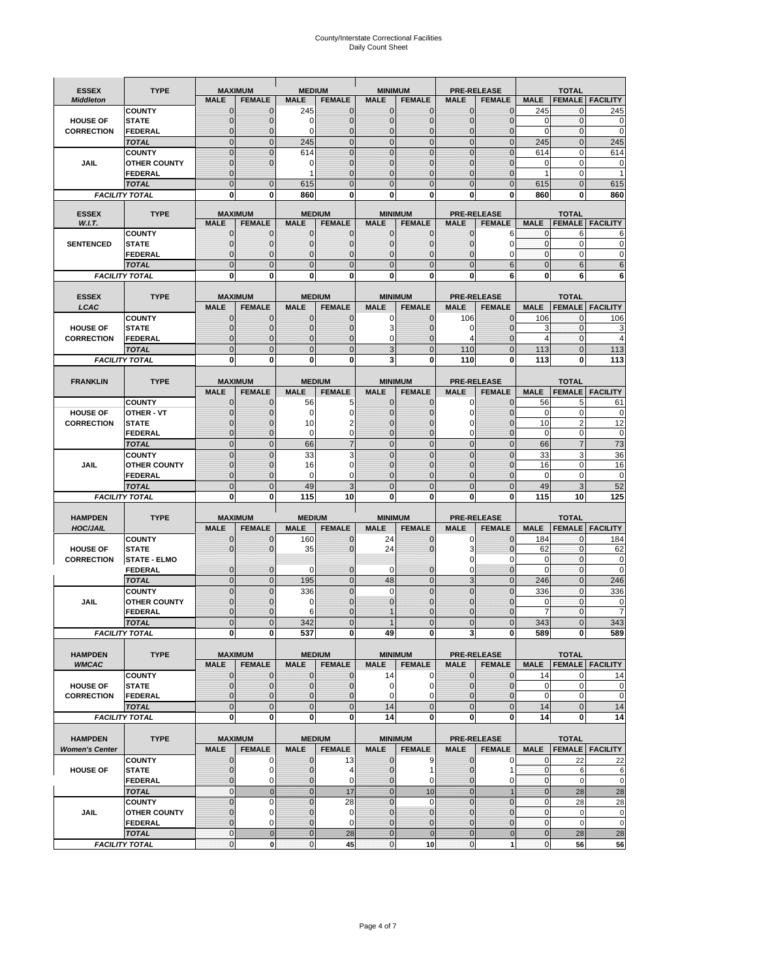# County/Interstate Correctional Facilities Daily Count Sheet

| <b>ESSEX</b>                            | <b>TYPE</b>                           |                               | <b>MAXIMUM</b>                   | <b>MEDIUM</b>                  |                                | <b>MINIMUM</b>                 |                                 |                             | <b>PRE-RELEASE</b>                  |                             | <b>TOTAL</b>                  |                          |
|-----------------------------------------|---------------------------------------|-------------------------------|----------------------------------|--------------------------------|--------------------------------|--------------------------------|---------------------------------|-----------------------------|-------------------------------------|-----------------------------|-------------------------------|--------------------------|
| <b>Middleton</b>                        |                                       | <b>MALE</b>                   | <b>FEMALE</b>                    | <b>MALE</b>                    | <b>FEMALE</b>                  | <b>MALE</b>                    | <b>FEMALE</b>                   | MALE                        | <b>FEMALE</b>                       | <b>MALE</b>                 | <b>FEMALE</b>                 | <b>FACILITY</b>          |
|                                         | <b>COUNTY</b>                         | 0                             | 0                                | 245                            | 0                              | $\mathbf 0$                    | $\mathbf{0}$                    | $\mathbf{0}$                | $\Omega$                            | 245                         | 0                             | 245                      |
| <b>HOUSE OF</b>                         | <b>STATE</b>                          | 0                             | $\mathbf 0$                      | $\Omega$                       | 0                              | $\mathbf{0}$                   | $\Omega$                        | $\mathbf 0$                 | $\Omega$                            | $\Omega$                    | $\Omega$                      | 0                        |
| <b>CORRECTION</b>                       | <b>FEDERAL</b>                        | 0                             | $\mathbf 0$                      | 0                              | 0                              | $\mathbf{0}$                   | $\mathbf 0$                     | $\mathbf{0}$                | $\mathbf 0$                         | $\mathbf 0$                 | $\mathbf{0}$                  | $\mathbf 0$              |
|                                         | <b>TOTAL</b><br><b>COUNTY</b>         | $\overline{0}$<br>$\mathbf 0$ | $\overline{0}$<br>$\overline{0}$ | 245<br>614                     | $\mathbf 0$<br>$\overline{0}$  | $\mathbf 0$<br>$\mathbf{0}$    | $\overline{0}$<br>$\Omega$      | $\mathbf 0$<br>$\mathbf 0$  | $\overline{0}$<br>$\Omega$          | 245<br>614                  | $\mathbf{0}$<br>$\mathbf 0$   | 245<br>614               |
| JAIL                                    | <b>OTHER COUNTY</b>                   | $\mathbf 0$                   | $\overline{0}$                   | 0                              | 0                              | $\mathbf{0}$                   | $\mathbf{0}$                    | $\mathbf 0$                 | ſ                                   | 0                           | $\mathbf 0$                   | 0                        |
|                                         | <b>FEDERAL</b>                        | $\mathbf{0}$                  |                                  | 1                              | $\Omega$                       | $\mathbf{0}$                   | $\Omega$                        | $\mathbf{0}$                | 0                                   | 1                           | $\mathbf 0$                   |                          |
|                                         | <b>TOTAL</b>                          | $\overline{0}$                | $\mathbf 0$                      | 615                            | $\Omega$                       | $\Omega$                       | $\Omega$                        | $\overline{0}$              | $\Omega$                            | 615                         | $\Omega$                      | 615                      |
|                                         | <b>FACILITY TOTAL</b>                 | 0                             | 0                                | 860                            | O                              | $\bf{0}$                       | 0                               | 0                           | 0                                   | 860                         | 0                             | 860                      |
|                                         |                                       |                               |                                  |                                |                                |                                |                                 |                             |                                     |                             |                               |                          |
| <b>ESSEX</b><br>W.I.T.                  | <b>TYPE</b>                           | <b>MALE</b>                   | <b>MAXIMUM</b><br><b>FEMALE</b>  | <b>MALE</b>                    | <b>MEDIUM</b><br><b>FEMALE</b> | <b>MALE</b>                    | <b>MINIMUM</b><br><b>FEMALE</b> | <b>MALE</b>                 | <b>PRE-RELEASE</b><br><b>FEMALE</b> | <b>MALE</b>                 | <b>TOTAL</b><br><b>FEMALE</b> | <b>FACILITY</b>          |
|                                         | <b>COUNTY</b>                         | $\mathbf{0}$                  | 0                                | $\mathbf 0$                    | 0                              | $\mathbf 0$                    | $\mathbf{0}$                    | $\mathbf 0$                 | 6                                   | 0                           | 6                             | 6                        |
| <b>SENTENCED</b>                        | <b>STATE</b>                          | 0                             | $\mathbf 0$                      | $\mathbf{0}$                   | $\mathbf 0$                    | $\mathbf{0}$                   | $\mathbf{0}$                    | $\mathbf{0}$                | $\Omega$                            | $\mathbf{0}$                | $\mathbf 0$                   | 0                        |
|                                         | <b>FEDERAL</b>                        | $\mathbf 0$                   | $\mathbf 0$                      | $\mathbf{0}$                   | 0                              | $\mathbf{0}$                   | 0                               | $\mathbf 0$                 | 0                                   | $\mathbf{0}$                | $\mathbf 0$                   | 0                        |
|                                         | <b>TOTAL</b>                          | $\overline{0}$                | $\overline{0}$                   | $\mathbf 0$                    | $\overline{0}$                 | $\mathbf{0}$                   | $\overline{0}$                  | $\overline{0}$              | 6                                   | $\mathbf{0}$                | 6                             | 6                        |
|                                         | <b>FACILITY TOTAL</b>                 | 0                             | 0                                | $\bf{0}$                       | O                              | $\bf{0}$                       | $\mathbf{0}$                    | 0                           | 6                                   | $\bf{0}$                    | 6                             | 6                        |
|                                         |                                       |                               |                                  |                                |                                |                                |                                 |                             |                                     |                             |                               |                          |
| <b>ESSEX</b><br>LCAC                    | <b>TYPE</b>                           | <b>MALE</b>                   | <b>MAXIMUM</b><br><b>FEMALE</b>  | <b>MALE</b>                    | <b>MEDIUM</b><br><b>FEMALE</b> | <b>MALE</b>                    | <b>MINIMUM</b><br><b>FEMALE</b> | <b>MALE</b>                 | <b>PRE-RELEASE</b><br><b>FEMALE</b> | <b>MALE</b>                 | <b>TOTAL</b>                  | <b>FEMALE</b> FACILITY   |
|                                         | <b>COUNTY</b>                         | 0                             | 0                                | $\mathbf{0}$                   | 0                              | 0                              | $\mathbf{0}$                    | 106                         | $\Omega$                            | 106                         | $\Omega$                      | 106                      |
| <b>HOUSE OF</b>                         | <b>STATE</b>                          | 0                             | $\overline{0}$                   | $\mathbf 0$                    | 0                              | 3                              | $\Omega$                        | 0                           | $\Omega$                            | 3                           | $\mathbf 0$                   | 3                        |
| <b>CORRECTION</b>                       | FEDERAL                               | 0                             | 0                                | $\mathbf{0}$                   | 0                              | 0                              | $\Omega$                        | 4                           | $\mathbf 0$                         | 4                           | $\mathbf 0$                   | $\overline{4}$           |
|                                         | <b>TOTAL</b>                          | $\Omega$                      | $\overline{0}$                   | $\mathbf 0$                    | $\overline{0}$                 | 3                              | $\Omega$                        | 110                         | $\Omega$                            | 113                         | $\Omega$                      | 113                      |
|                                         | <b>FACILITY TOTAL</b>                 | 0                             | 0                                | 0                              | 0                              | 3                              | 0                               | 110                         | 0                                   | 113                         | 0                             | 113                      |
|                                         |                                       |                               |                                  |                                |                                |                                |                                 |                             |                                     |                             |                               |                          |
| <b>FRANKLIN</b>                         | <b>TYPE</b>                           |                               | <b>MAXIMUM</b>                   |                                | <b>MEDIUM</b>                  |                                | <b>MINIMUM</b>                  | <b>PRE-RELEASE</b>          |                                     |                             | <b>TOTAL</b>                  |                          |
|                                         |                                       | <b>MALE</b>                   | <b>FEMALE</b>                    | <b>MALE</b>                    | <b>FEMALE</b>                  | <b>MALE</b>                    | <b>FEMALE</b>                   | <b>MALE</b>                 | <b>FEMALE</b><br>$\Omega$           | <b>MALE</b>                 | <b>FEMALE</b>                 | <b>FACILITY</b>          |
| <b>HOUSE OF</b>                         | <b>COUNTY</b><br><b>OTHER - VT</b>    | $\mathbf{0}$<br>0             | 0<br>$\overline{0}$              | 56<br>$\mathbf 0$              | 5<br>$\mathbf 0$               | $\mathbf{0}$<br>$\mathbf{0}$   | 0<br>$\mathbf 0$                | 0<br>$\mathbf 0$            | $\Omega$                            | 56<br>$\mathbf 0$           | 5<br>$\mathbf 0$              | 61<br>0                  |
| <b>CORRECTION</b>                       | <b>STATE</b>                          | $\Omega$                      | $\mathbf 0$                      | 10                             | 2                              | $\Omega$                       | $\Omega$                        | 0                           | $\sqrt{ }$                          | 10                          | $\overline{2}$                | 12                       |
|                                         | FEDERAL                               | $\mathbf{0}$                  | $\overline{0}$                   | $\mathbf 0$                    | 0                              | $\mathbf{0}$                   | $\mathbf{0}$                    | 0                           | $\overline{0}$                      | $\mathbf 0$                 | $\mathbf 0$                   | $\mathbf 0$              |
|                                         | <b>TOTAL</b>                          | $\overline{0}$                | $\mathbf{0}$                     | 66                             | 7                              | $\mathbf{0}$                   | $\mathbf{0}$                    | $\mathbf{0}$                | $\overline{0}$                      | 66                          | $\overline{7}$                | 73                       |
|                                         | <b>COUNTY</b>                         | $\Omega$                      | $\overline{0}$                   | 33                             | 3                              | $\Omega$                       | $\Omega$                        | $\mathbf 0$                 | $\Omega$                            | 33                          | 3                             | 36                       |
| JAIL                                    | <b>OTHER COUNTY</b>                   | 0                             | $\overline{0}$                   | 16                             | 0                              | $\mathbf 0$                    | $\Omega$                        | $\mathbf 0$                 | $\sqrt{ }$                          | 16                          | $\mathbf 0$                   | 16                       |
|                                         | <b>FEDERAL</b>                        | 0                             | 0                                | 0                              | 0                              | $\mathbf{0}$                   | $\Omega$                        | $\mathbf{0}$                | $\Omega$                            | $\mathbf 0$                 | $\mathbf 0$                   | $\mathbf 0$              |
|                                         | <b>TOTAL</b><br><b>FACILITY TOTAL</b> | $\mathbf{0}$<br>0             | $\overline{0}$<br>0              | 49<br>115                      | 3<br>10                        | $\mathbf{0}$<br>$\bf{0}$       | $\Omega$<br>0                   | $\overline{0}$<br>0         | $\Omega$<br>0                       | 49<br>115                   | 3<br>10                       | 52<br>125                |
|                                         |                                       |                               |                                  |                                |                                |                                |                                 |                             |                                     |                             |                               |                          |
| <b>HAMPDEN</b>                          | <b>TYPE</b>                           |                               | <b>MAXIMUM</b>                   | <b>MEDIUM</b>                  |                                | <b>MINIMUM</b>                 |                                 |                             | <b>PRE-RELEASE</b>                  |                             | <b>TOTAL</b>                  |                          |
| <b>HOC/JAIL</b>                         |                                       | <b>MALE</b>                   | <b>FEMALE</b>                    | <b>MALE</b>                    | <b>FEMALE</b>                  | <b>MALE</b>                    | <b>FEMALE</b>                   | <b>MALE</b>                 | <b>FEMALE</b>                       | <b>MALE</b>                 | <b>FEMALE</b>                 | <b>FACILITY</b>          |
|                                         | <b>COUNTY</b>                         | 0                             | $\mathbf 0$                      | 160                            | 0                              | 24                             | 0                               | 0                           | $\mathbf 0$                         | 184                         | $\mathbf{0}$                  | 184                      |
| <b>HOUSE OF</b>                         | <b>STATE</b>                          | 0                             | $\overline{0}$                   | 35                             | 0                              | 24                             | $\Omega$                        | 3                           | $\sqrt{ }$                          | 62                          | $\mathbf{0}$                  | 62                       |
| <b>CORRECTION</b>                       | <b>STATE - ELMO</b><br><b>FEDERAL</b> | $\mathbf{0}$                  | $\mathbf 0$                      | $\Omega$                       | 0                              | 0                              | $\mathbf{0}$                    | 0<br>$\mathbf 0$            | 0<br>0                              | 0<br>$\Omega$               | $\mathbf{0}$<br>$\Omega$      | 0<br>0                   |
|                                         | <b>TOTAL</b>                          | $\overline{0}$                | $\overline{0}$                   | 195                            | $\overline{0}$                 | 48                             | $\mathbf{0}$                    | 3                           | $\Omega$                            | 246                         | $\Omega$                      | 246                      |
|                                         | <b>COUNTY</b>                         | $\overline{0}$                | $\overline{0}$                   | 336                            | 0                              | $\mathbf 0$                    | $\overline{0}$                  | $\overline{0}$              | $\overline{0}$                      | 336                         | $\mathbf{0}$                  | 336                      |
| <b>JAIL</b>                             | <b>OTHER COUNTY</b>                   | 0                             | $\mathbf 0$                      | 0                              | 0                              | $\mathbf{0}$                   | $\Omega$                        | $\mathbf 0$                 | $\sqrt{ }$                          | $\mathbf 0$                 | $\mathbf 0$                   | 0                        |
|                                         | <b>FEDERAL</b>                        | $\Omega$                      | $\mathbf 0$                      | 6                              | $\Omega$                       |                                | $\Omega$                        | $\mathbf 0$                 | $\Omega$                            | $\overline{7}$              | $\Omega$                      | $\overline{7}$           |
|                                         | <b>TOTAL</b>                          | $\overline{0}$                | $\overline{0}$                   | 342                            | $\Omega$                       |                                | $\overline{0}$                  | $\overline{0}$              | $\overline{0}$                      | 343                         | $\Omega$                      | 343                      |
|                                         | <b>FACILITY TOTAL</b>                 | $\mathbf{0}$                  | $\boldsymbol{0}$                 | 537                            | o                              | 49                             | 0                               | 3 <sub>l</sub>              | 0                                   | 589                         | 0                             | 589                      |
|                                         |                                       |                               |                                  |                                |                                |                                |                                 |                             |                                     |                             |                               |                          |
| <b>HAMPDEN</b><br><b>WMCAC</b>          | <b>TYPE</b>                           | <b>MALE</b>                   | <b>MAXIMUM</b><br><b>FEMALE</b>  | <b>MALE</b>                    | <b>MEDIUM</b><br><b>FEMALE</b> | <b>MALE</b>                    | <b>MINIMUM</b><br><b>FEMALE</b> | <b>MALE</b>                 | <b>PRE-RELEASE</b><br><b>FEMALE</b> | <b>MALE</b>                 | <b>TOTAL</b>                  | <b>FEMALE   FACILITY</b> |
|                                         | <b>COUNTY</b>                         | $\mathbf 0$                   | $\mathbf{0}$                     | $\mathbf 0$                    | 0                              | 14                             | 0                               | $\mathbf 0$                 | $\mathbf 0$                         | 14                          | 0                             | 14                       |
| <b>HOUSE OF</b>                         | <b>STATE</b>                          | $\mathbf{0}$                  | $\mathbf{0}$                     | $\overline{0}$                 | 0                              | $\mathbf 0$                    | 0                               | $\mathbf{0}$                | $\overline{0}$                      | $\mathbf 0$                 | $\mathbf 0$                   | 0                        |
| <b>CORRECTION</b>                       | FEDERAL                               | $\mathbf{0}$                  | 0                                | $\overline{0}$                 | 0                              | 0                              | $\Omega$                        | 0                           | 0                                   | $\mathbf 0$                 | $\mathbf 0$                   | $\pmb{0}$                |
|                                         | <b>TOTAL</b>                          | $\mathbf{0}$                  | $\overline{0}$                   | $\overline{0}$                 | $\overline{0}$                 | 14                             | $\mathbf{0}$                    | $\mathbf 0$                 | $\mathbf 0$                         | 14                          | $\mathbf{0}$                  | 14                       |
|                                         | <b>FACILITY TOTAL</b>                 | $\bf{0}$                      | 0                                | $\mathbf{0}$                   | 0                              | 14                             | 0                               | 0                           | $\bf{0}$                            | 14                          | 0                             | 14                       |
|                                         |                                       |                               |                                  |                                |                                |                                |                                 |                             |                                     |                             |                               |                          |
| <b>HAMPDEN</b><br><b>Women's Center</b> | <b>TYPE</b>                           | <b>MALE</b>                   | <b>MAXIMUM</b><br><b>FEMALE</b>  | <b>MALE</b>                    | <b>MEDIUM</b><br><b>FEMALE</b> | <b>MALE</b>                    | <b>MINIMUM</b><br><b>FEMALE</b> | <b>MALE</b>                 | <b>PRE-RELEASE</b><br><b>FEMALE</b> | <b>MALE</b>                 | <b>TOTAL</b>                  | <b>FEMALE</b> FACILITY   |
|                                         | <b>COUNTY</b>                         | 0                             | 0                                | $\mathbf 0$                    | 13                             | $\mathbf 0$                    | 9                               | 0                           | 0                                   | 0                           | 22                            | 22                       |
| <b>HOUSE OF</b>                         | <b>STATE</b>                          | $\mathbf{0}$                  | $\mathbf 0$                      | $\mathbf{0}$                   | 4                              | $\mathbf{0}$                   | 1                               | $\mathbf 0$                 | 1                                   | $\mathbf 0$                 | 6                             | 6                        |
|                                         | <b>FEDERAL</b>                        | 0                             | 0                                | 0                              | 0                              | $\mathbf{0}$                   | $\Omega$                        | $\mathbf{0}$                | 0                                   | $\overline{0}$              | $\mathbf 0$                   | $\mathbf 0$              |
|                                         | <b>TOTAL</b>                          | $\mathbf{0}$                  | $\mathbf 0$                      | $\overline{0}$                 | 17                             | $\overline{0}$                 | 10                              | $\mathbf{0}$                |                                     | $\mathbf{0}$                | 28                            | 28                       |
|                                         | <b>COUNTY</b>                         | $\overline{0}$                | $\mathbf 0$                      | $\mathbf{0}$                   | 28                             | $\mathbf{0}$                   | $\mathbf 0$                     | $\overline{0}$              | $\overline{0}$                      | $\mathbf{0}$                | 28                            | 28                       |
| <b>JAIL</b>                             | <b>OTHER COUNTY</b>                   | 0                             | $\mathbf 0$                      | $\mathbf 0$                    | 0                              | $\mathbf 0$                    | $\mathbf{0}$                    | $\mathbf{0}$                | $\Omega$                            | $\mathbf 0$                 | $\mathbf 0$                   | $\pmb{0}$                |
|                                         | <b>FEDERAL</b>                        | $\mathbf 0$<br>$\mathbf 0$    | $\mathbf 0$                      | $\mathbf{0}$<br>$\overline{0}$ | 0                              | $\mathbf{0}$<br>$\overline{0}$ | $\mathbf{0}$                    | $\mathbf 0$<br>$\mathbf{0}$ | $\overline{0}$                      | $\mathbf 0$<br>$\mathbf{0}$ | $\mathbf 0$                   | $\mathbf 0$              |
|                                         | <b>TOTAL</b><br><b>FACILITY TOTAL</b> | $\pmb{0}$                     | $\mathbf 0$<br>$\mathbf 0$       | $\mathbf{O}$                   | 28<br>45                       | $\mathbf{0}$                   | $\mathbf 0$<br>10               | $\mathbf 0$                 | $\mathbf 0$<br>1                    | $\overline{0}$              | 28<br>56                      | 28<br>56                 |
|                                         |                                       |                               |                                  |                                |                                |                                |                                 |                             |                                     |                             |                               |                          |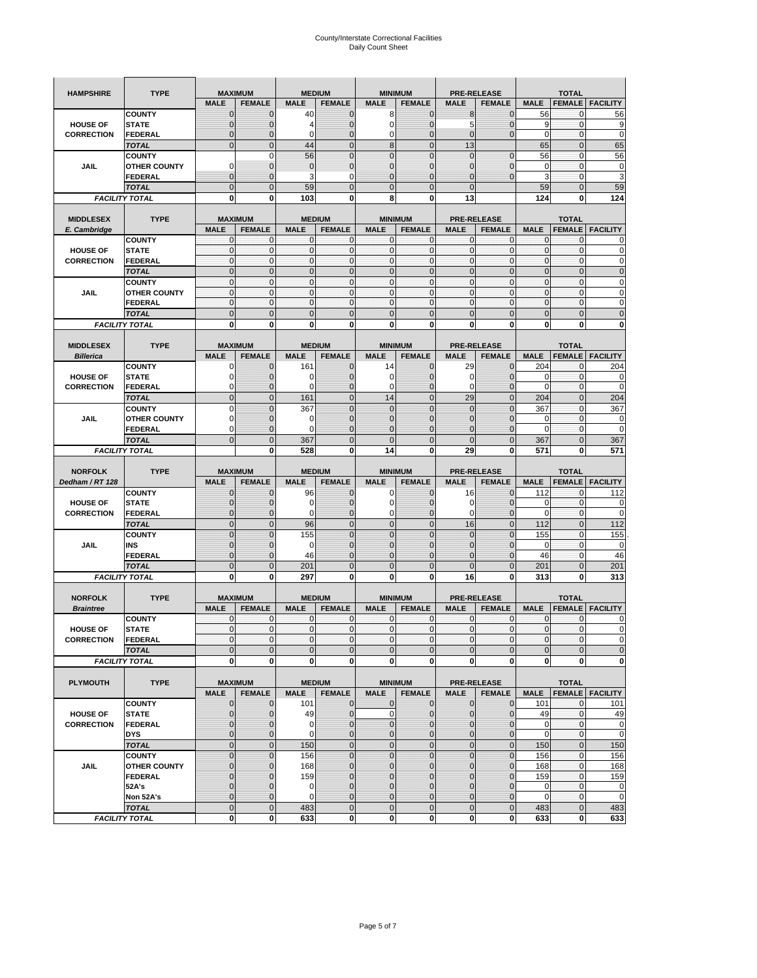| <b>HAMPSHIRE</b>                 | <b>TYPE</b>                           |                              | <b>MAXIMUM</b>                  |                            | <b>MEDIUM</b>                  |                            | <b>MINIMUM</b>                  | <b>PRE-RELEASE</b>                |                                  |                            | <b>TOTAL</b>                  |                            |
|----------------------------------|---------------------------------------|------------------------------|---------------------------------|----------------------------|--------------------------------|----------------------------|---------------------------------|-----------------------------------|----------------------------------|----------------------------|-------------------------------|----------------------------|
|                                  |                                       | <b>MALE</b>                  | <b>FEMALE</b>                   | <b>MALE</b>                | <b>FEMALE</b>                  | <b>MALE</b>                | <b>FEMALE</b>                   | <b>MALE</b>                       | <b>FEMALE</b>                    | <b>MALE</b>                | <b>FEMALE</b>                 | <b>FACILITY</b>            |
|                                  | <b>COUNTY</b>                         | $\mathbf{0}$                 | $\mathbf 0$                     | 40                         | $\mathbf{0}$                   | 8                          | $\mathbf{0}$                    | 8                                 | $\overline{0}$                   | 56                         | 0                             | 56                         |
| <b>HOUSE OF</b>                  | <b>STATE</b>                          | $\mathbf 0$                  | 0                               | 4                          | 0                              | $\mathbf 0$                | $\mathbf 0$                     | 5                                 | $\mathbf 0$                      | 9                          | $\mathbf 0$                   | 9                          |
| <b>CORRECTION</b>                | FEDERAL                               | $\mathbf 0$                  | $\overline{0}$                  | 0                          | $\mathbf 0$                    | $\mathbf 0$                | $\overline{0}$                  | $\mathbf{0}$                      | $\overline{0}$                   | $\mathbf 0$                | $\mathbf{0}$                  | 0                          |
|                                  | <b>TOTAL</b>                          | $\mathbf{0}$                 | $\overline{0}$                  | 44                         | $\mathbf 0$                    | 8                          | $\overline{0}$                  | 13                                |                                  | 65                         | $\pmb{0}$                     | 65                         |
|                                  | <b>COUNTY</b>                         |                              | $\mathbf 0$                     | 56                         | $\mathbf 0$                    | $\overline{0}$             | $\overline{0}$                  | $\mathbf 0$                       | $\mathbf 0$                      | 56                         | $\mathbf 0$                   | 56                         |
| <b>JAIL</b>                      | <b>OTHER COUNTY</b>                   | 0                            | $\mathbf 0$                     | $\mathbf 0$                | $\pmb{0}$                      | $\mathbf{0}$               | $\mathbf 0$                     | 0                                 | $\mathbf 0$                      | $\mathbf 0$                | $\mathbf{0}$                  | 0                          |
|                                  | <b>FEDERAL</b>                        | $\mathbf{0}$                 | $\mathbf 0$                     | 3                          | 0                              | $\overline{0}$             | $\mathbf{0}$                    | $\overline{0}$                    | $\overline{0}$                   | 3                          | $\pmb{0}$                     | 3                          |
|                                  | <b>TOTAL</b>                          | $\mathbf{0}$                 | $\mathbf 0$                     | 59                         | $\mathbf 0$                    | $\mathbf 0$                | $\overline{0}$                  | $\mathbf{0}$                      |                                  | 59                         | $\mathbf 0$                   | 59                         |
|                                  | <b>FACILITY TOTAL</b>                 | 0                            | 0                               | 103                        | 0                              | 8                          | 0                               | 13                                |                                  | 124                        | 0                             | 124                        |
|                                  |                                       |                              |                                 |                            |                                |                            |                                 |                                   |                                  |                            |                               |                            |
| <b>MIDDLESEX</b><br>E. Cambridge | <b>TYPE</b>                           | <b>MALE</b>                  | <b>MAXIMUM</b><br><b>FEMALE</b> | <b>MALE</b>                | <b>MEDIUM</b><br><b>FEMALE</b> | <b>MALE</b>                | <b>MINIMUM</b><br><b>FEMALE</b> | <b>PRE-RELEASE</b><br><b>MALE</b> | <b>FEMALE</b>                    | <b>MALE</b>                | <b>TOTAL</b><br><b>FEMALE</b> | <b>FACILITY</b>            |
|                                  | <b>COUNTY</b>                         | 0                            | $\mathbf 0$                     | 0                          | 0                              | 0                          | $\mathbf{0}$                    | 0                                 | 0                                | $\mathbf{0}$               | 0                             | 0                          |
| <b>HOUSE OF</b>                  | <b>STATE</b>                          | $\pmb{0}$                    | $\mathbf 0$                     | $\mathbf 0$                | $\mathbf 0$                    | $\mathbf{0}$               | $\mathbf 0$                     | $\mathbf{0}$                      | $\mathbf 0$                      | $\pmb{0}$                  | $\mathbf{0}$                  | 0                          |
| <b>CORRECTION</b>                | <b>FEDERAL</b>                        | $\mathbf{0}$                 | $\mathbf 0$                     | $\mathbf 0$                | $\mathbf{0}$                   | $\mathbf{0}$               | $\mathbf{0}$                    | $\mathbf{0}$                      | $\mathbf 0$                      | $\mathbf{0}$               | $\mathbf{0}$                  | 0                          |
|                                  | <b>TOTAL</b>                          | $\mathbf{0}$                 | $\overline{0}$                  | $\overline{0}$             | $\mathbf{0}$                   | $\mathbf 0$                | $\mathbf{0}$                    | $\mathbf{0}$                      | $\overline{0}$                   | $\pmb{0}$                  | $\mathbf{0}$                  | $\mathbf 0$                |
|                                  | <b>COUNTY</b>                         | $\mathbf{0}$                 | $\mathbf 0$                     | $\mathbf 0$                | $\mathbf 0$                    | $\mathbf{0}$               | $\mathbf{0}$                    | $\mathbf{0}$                      | $\mathbf 0$                      | $\bf 0$                    | $\pmb{0}$                     | 0                          |
| JAIL                             | <b>OTHER COUNTY</b>                   | $\mathbf{0}$                 | $\mathbf 0$                     | $\mathbf 0$                | $\mathbf 0$                    | $\mathbf{0}$               | $\Omega$                        | $\mathbf{0}$                      | $\mathbf 0$                      | $\mathbf{0}$               | $\mathbf{0}$                  | 0                          |
|                                  | <b>FEDERAL</b>                        | $\mathbf{0}$                 | $\mathbf{0}$                    | $\mathbf{0}$               | $\mathbf 0$                    | $\mathbf 0$                | $\mathbf{0}$                    | $\pmb{0}$                         | $\mathbf 0$                      | $\mathbf{0}$               | $\pmb{0}$                     | 0                          |
|                                  | <b>TOTAL</b>                          | $\mathbf{0}$                 | $\overline{0}$                  | $\mathbf{0}$               | $\mathbf 0$                    | $\mathbf{0}$               | $\mathbf 0$                     | $\mathbf{0}$                      | $\overline{0}$                   | $\mathbf 0$                | $\mathbf 0$                   | $\overline{0}$             |
|                                  | <b>FACILITY TOTAL</b>                 | 0                            | 0                               | $\mathbf 0$                | 0                              | 0                          | $\mathbf{0}$                    | $\bf{0}$                          | 0                                | 0                          | 0                             | O                          |
| <b>MIDDLESEX</b>                 | <b>TYPE</b>                           |                              |                                 |                            | <b>MEDIUM</b>                  |                            |                                 | <b>PRE-RELEASE</b>                |                                  |                            |                               |                            |
| <b>Billerica</b>                 |                                       | <b>MALE</b>                  | <b>MAXIMUM</b><br><b>FEMALE</b> | <b>MALE</b>                | <b>FEMALE</b>                  | <b>MALE</b>                | <b>MINIMUM</b><br><b>FEMALE</b> | <b>MALE</b>                       | <b>FEMALE</b>                    | <b>MALE</b>                | <b>TOTAL</b><br><b>FEMALE</b> | <b>FACILITY</b>            |
|                                  | <b>COUNTY</b>                         | 0                            | $\mathbf 0$                     | 161                        | $\mathbf{0}$                   | 14                         | $\mathbf{0}$                    | 29                                | $\overline{0}$                   | 204                        | 0                             | 204                        |
| <b>HOUSE OF</b>                  | <b>STATE</b>                          | 0                            | $\overline{0}$                  | 0                          | $\mathbf{0}$                   | $\mathbf 0$                | $\mathbf{0}$                    | 0                                 | $\overline{0}$                   | 0                          | $\mathbf 0$                   | 0                          |
| <b>CORRECTION</b>                | <b>FEDERAL</b>                        | 0                            | $\mathbf 0$                     | $\mathbf 0$                | $\mathbf{0}$                   | 0                          | $\mathbf{0}$                    | $\mathbf 0$                       | $\mathbf 0$                      | $\mathbf 0$                | $\pmb{0}$                     | 0                          |
|                                  | <b>TOTAL</b>                          | $\mathbf{0}$                 | $\overline{0}$                  | 161                        | $\mathbf{0}$                   | 14                         | $\mathbf 0$                     | 29                                | $\overline{0}$                   | 204                        | $\mathbf{0}$                  | 204                        |
|                                  | <b>COUNTY</b>                         | $\mathbf 0$                  | $\overline{0}$                  | 367                        | $\overline{0}$                 | $\overline{0}$             | $\overline{0}$                  | $\mathbf 0$                       | $\overline{0}$                   | 367                        | $\mathbf 0$                   | 367                        |
| <b>JAIL</b>                      | <b>OTHER COUNTY</b>                   | 0                            | 0                               | 0                          | 0                              | $\mathbf{0}$               | $\overline{0}$                  | 0                                 | 0                                | 0                          | 0                             | 0                          |
|                                  | <b>FEDERAL</b>                        | 0                            | $\overline{0}$                  | $\Omega$                   | $\overline{0}$                 | $\overline{0}$             | $\overline{0}$                  | 0                                 | $\overline{0}$                   | $\mathbf 0$                | $\mathbf{0}$                  | 0                          |
|                                  | <b>TOTAL</b>                          | $\mathbf 0$                  | $\mathbf 0$                     | 367                        | $\mathbf 0$                    | $\overline{0}$             | $\mathbf 0$                     | $\mathbf{0}$                      | $\overline{0}$                   | 367                        | $\mathbf 0$                   | 367                        |
|                                  | <b>FACILITY TOTAL</b>                 |                              | 0                               | 528                        | 0                              | 14                         | 0                               | 29                                | 0                                | 571                        | 0                             | 571                        |
|                                  |                                       |                              |                                 |                            |                                |                            |                                 |                                   |                                  |                            |                               |                            |
|                                  |                                       |                              |                                 |                            |                                |                            |                                 |                                   |                                  |                            |                               |                            |
| <b>NORFOLK</b>                   | <b>TYPE</b>                           |                              | <b>MAXIMUM</b>                  |                            | <b>MEDIUM</b>                  |                            | <b>MINIMUM</b>                  | <b>PRE-RELEASE</b>                |                                  |                            | <b>TOTAL</b>                  |                            |
| Dedham / RT 128                  |                                       | <b>MALE</b>                  | <b>FEMALE</b>                   | <b>MALE</b>                | <b>FEMALE</b>                  | <b>MALE</b>                | <b>FEMALE</b>                   | <b>MALE</b>                       | <b>FEMALE</b>                    | <b>MALE</b>                | <b>FEMALE</b>                 | <b>FACILITY</b>            |
| <b>HOUSE OF</b>                  | <b>COUNTY</b><br><b>STATE</b>         | $\mathbf{0}$<br>$\mathbf{0}$ | $\mathbf 0$<br>$\mathbf 0$      | 96<br>$\mathbf 0$          | $\mathbf{0}$<br>$\overline{0}$ | 0<br>$\mathbf 0$           | $\mathbf{0}$<br>$\mathbf{0}$    | 16<br>0                           | $\overline{0}$<br>$\overline{0}$ | 112<br>0                   | 0<br>$\mathbf 0$              | 112                        |
| <b>CORRECTION</b>                | <b>FEDERAL</b>                        | 0                            | 0                               | 0                          | 0                              | 0                          | $\overline{0}$                  | 0                                 | 0                                | 0                          | $\mathbf 0$                   | 0                          |
|                                  | <b>TOTAL</b>                          | $\mathbf 0$                  | $\mathbf 0$                     | 96                         | $\overline{0}$                 | $\mathbf 0$                | $\overline{0}$                  | 16                                | $\overline{0}$                   | 112                        | $\mathbf{0}$                  | 112                        |
|                                  | <b>COUNTY</b>                         | $\mathbf{0}$                 | $\overline{0}$                  | 155                        | $\overline{0}$                 | $\overline{0}$             | $\overline{0}$                  | $\mathbf 0$                       | $\overline{0}$                   | 155                        | $\mathbf 0$                   | 155                        |
| <b>JAIL</b>                      | INS                                   | $\mathbf 0$                  | 0                               | $\mathbf 0$                | 0                              | $\mathbf{0}$               | $\overline{0}$                  | 0                                 | 0                                | 0                          | 0                             | 0                          |
|                                  | FEDERAL                               | $\mathbf{0}$                 | $\overline{0}$                  | 46                         | $\overline{0}$                 | $\overline{0}$             | $\overline{0}$                  | $\overline{0}$                    | $\mathbf 0$                      | 46                         | $\mathbf{0}$                  | 46                         |
|                                  | <b>TOTAL</b>                          | $\mathbf 0$                  | $\overline{0}$                  | 201                        | $\overline{0}$                 | $\overline{0}$             | $\overline{0}$                  | $\overline{0}$                    | $\overline{0}$                   | 201                        | $\overline{0}$                | 201                        |
|                                  | <b>FACILITY TOTAL</b>                 | 0                            | 0                               | 297                        | 0                              | 0                          | $\mathbf 0$                     | 16                                | 0                                | 313                        | 0                             | 313                        |
|                                  |                                       |                              |                                 |                            |                                |                            |                                 |                                   |                                  |                            |                               |                            |
| <b>NORFOLK</b>                   | <b>TYPE</b>                           |                              | <b>MAXIMUM</b>                  |                            | <b>MEDIUM</b>                  |                            | <b>MINIMUM</b>                  | <b>PRE-RELEASE</b>                |                                  |                            | <b>TOTAL</b>                  |                            |
| <b>Braintree</b>                 |                                       | <b>MALE</b>                  | <b>FEMALE</b><br>$\mathbf 0$    | <b>MALE</b><br>$\mathbf 0$ | <b>FEMALE</b>                  | <b>MALE</b>                | <b>FEMALE</b><br>$\mathbf{0}$   | <b>MALE</b>                       | <b>FEMALE</b>                    | <b>MALE</b>                | <b>FEMALE</b>                 | <b>FACILITY</b>            |
| <b>HOUSE OF</b>                  | <b>COUNTY</b><br><b>STATE</b>         | 0<br>$\mathbf{0}$            | $\mathbf{0}$                    | $\mathbf{O}$               | 0<br>$\overline{0}$            | 0<br>$\mathbf{0}$          | $\overline{0}$                  | 0<br>$\mathbf{0}$                 | 0<br>$\overline{0}$              | 0<br>$\mathbf{0}$          | 0<br>$\mathbf{0}$             | 0<br>0                     |
| <b>CORRECTION</b>                | FEDERAL                               | $\mathbf 0$                  | 0                               | $\mathbf 0$                | $\bf{0}$                       | $\mathbf 0$                | $\mathbf{0}$                    | 0                                 | $\mathbf 0$                      | $\mathbf 0$                | $\mathbf 0$                   | 0                          |
|                                  | <b>TOTAL</b>                          | $\pmb{0}$                    | $\mathbf 0$                     | $\mathbf 0$                | $\mathbf 0$                    | $\mathbf 0$                | $\mathbf 0$                     | $\mathbf 0$                       | $\pmb{0}$                        | $\mathbf 0$                | $\pmb{0}$                     | $\mathbf 0$                |
|                                  | <b>FACILITY TOTAL</b>                 | $\mathbf 0$                  | 0                               | $\mathbf{0}$               | 0                              | 0                          | <sub>0</sub>                    | $\mathbf 0$                       | 0                                | $\mathbf 0$                | $\mathbf 0$                   | 0                          |
|                                  |                                       |                              |                                 |                            |                                |                            |                                 |                                   |                                  |                            |                               |                            |
| <b>PLYMOUTH</b>                  | <b>TYPE</b>                           |                              | <b>MAXIMUM</b>                  |                            | <b>MEDIUM</b>                  |                            | <b>MINIMUM</b>                  |                                   | <b>PRE-RELEASE</b>               |                            | <b>TOTAL</b>                  |                            |
|                                  |                                       | <b>MALE</b>                  | <b>FEMALE</b>                   | <b>MALE</b>                | <b>FEMALE</b>                  | <b>MALE</b>                | <b>FEMALE</b>                   | <b>MALE</b>                       | <b>FEMALE</b>                    | <b>MALE</b>                |                               | <b>FEMALE</b>   FACILITY   |
|                                  | <b>COUNTY</b>                         | $\mathbf{0}$                 | $\mathbf{0}$                    | 101                        | $\mathbf 0$                    | 0                          | $\mathbf{0}$                    | $\mathbf 0$                       | $\mathbf{0}$                     | 101                        | $\mathbf 0$                   | 101                        |
| <b>HOUSE OF</b>                  | <b>STATE</b>                          | $\mathbf 0$                  | $\mathbf 0$                     | 49                         | $\pmb{0}$                      | $\pmb{0}$                  | $\mathbf 0$                     | $\mathbf 0$                       | $\overline{0}$                   | 49                         | $\mathbf 0$                   | 49                         |
| <b>CORRECTION</b>                | <b>FEDERAL</b><br><b>DYS</b>          | $\mathbf{0}$<br>$\mathbf{0}$ | $\mathbf 0$<br>$\mathbf{0}$     | $\mathbf 0$<br>0           | $\mathbf 0$<br>$\pmb{0}$       | $\mathbf 0$<br>$\mathbf 0$ | $\mathbf{0}$<br>$\mathbf{0}$    | 0<br>$\mathbf 0$                  | $\overline{0}$<br>$\mathbf 0$    | $\mathbf 0$<br>$\mathbf 0$ | $\mathbf 0$<br>$\overline{0}$ | $\mathbf 0$<br>$\mathbf 0$ |
|                                  | <b>TOTAL</b>                          | $\mathbf 0$                  | $\mathbf 0$                     | 150                        | $\mathbf 0$                    | $\mathbf 0$                | $\mathbf 0$                     | $\mathbf 0$                       | $\pmb{0}$                        | 150                        | $\mathbf{0}$                  | 150                        |
|                                  | <b>COUNTY</b>                         | $\pmb{0}$                    | $\mathbf 0$                     | 156                        | $\mathbf 0$                    | $\mathbf{0}$               | $\overline{0}$                  | $\mathbf 0$                       | $\pmb{0}$                        | 156                        | $\mathbf 0$                   | 156                        |
| JAIL                             | <b>OTHER COUNTY</b>                   | $\mathbf{0}$                 | $\mathbf 0$                     | 168                        | $\pmb{0}$                      | $\mathbf 0$                | $\overline{0}$                  | 0                                 | $\mathbf 0$                      | 168                        | $\mathbf 0$                   | 168                        |
|                                  | <b>FEDERAL</b>                        | $\mathbf 0$                  | $\mathbf 0$                     | 159                        | 0                              | $\mathbf 0$                | $\mathbf 0$                     | $\mathbf 0$                       | $\mathbf 0$                      | 159                        | $\mathbf 0$                   |                            |
|                                  | 52A's                                 | $\mathbf{0}$                 | $\mathbf 0$                     | 0                          | $\mathbf{0}$                   | $\mathbf 0$                | $\overline{0}$                  | $\mathbf 0$                       | $\mathbf 0$                      | $\mathbf 0$                | $\mathbf{0}$                  | $\mathbf 0$                |
|                                  | Non 52A's                             | $\mathbf 0$                  | $\mathbf{0}$                    | 0                          | 0                              | $\mathbf 0$                | $\overline{0}$                  | $\mathbf 0$                       | $\mathbf 0$                      | $\mathbf 0$                | $\mathbf 0$                   | $\mathbf 0$                |
|                                  | <b>TOTAL</b><br><b>FACILITY TOTAL</b> | $\mathbf{0}$<br>$\mathbf 0$  | $\mathbf 0$<br>0                | 483<br>633                 | $\overline{0}$<br>0            | $\mathbf 0$<br>0           | $\overline{0}$<br>0             | $\mathbf 0$<br>$\pmb{0}$          | $\pmb{0}$<br>0                   | 483<br>633                 | $\pmb{0}$<br>$\mathbf 0$      | 159<br>483<br>633          |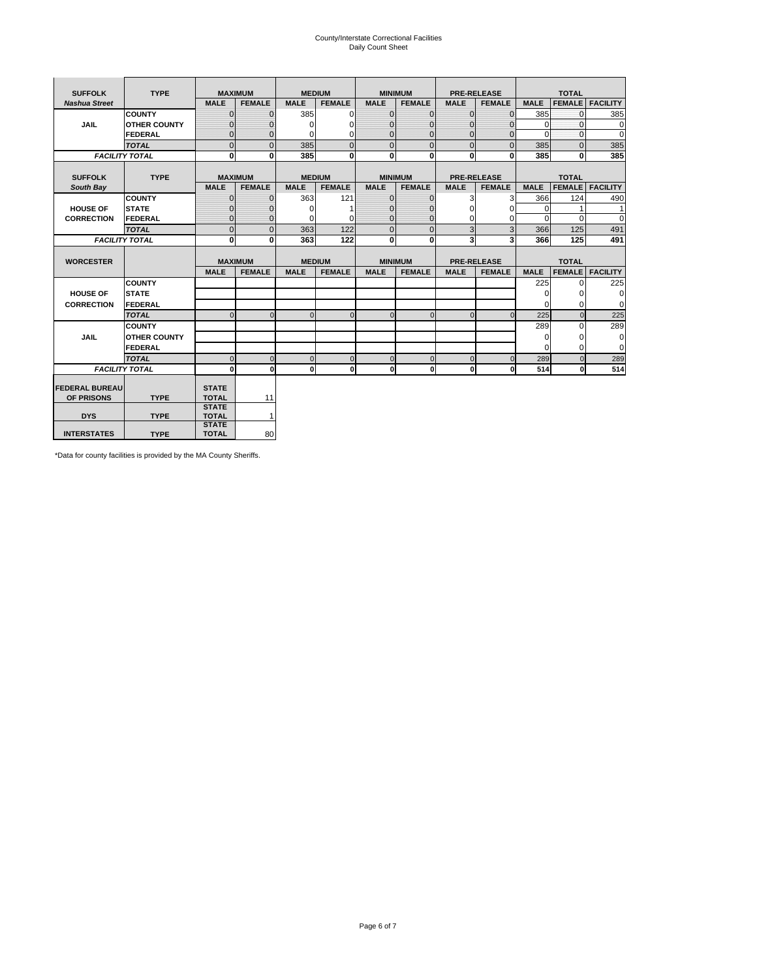# County/Interstate Correctional Facilities Daily Count Sheet

| <b>SUFFOLK</b>        | <b>TYPE</b>           |                              | <b>MAXIMUM</b> |               | <b>MEDIUM</b> |                | <b>MINIMUM</b> |              | <b>PRE-RELEASE</b> |             | <b>TOTAL</b>  |                 |
|-----------------------|-----------------------|------------------------------|----------------|---------------|---------------|----------------|----------------|--------------|--------------------|-------------|---------------|-----------------|
| <b>Nashua Street</b>  |                       | <b>MALE</b>                  | <b>FEMALE</b>  | <b>MALE</b>   | <b>FEMALE</b> | <b>MALE</b>    | <b>FEMALE</b>  | <b>MALE</b>  | <b>FEMALE</b>      | <b>MALE</b> | <b>FEMALE</b> | <b>FACILITY</b> |
|                       | <b>COUNTY</b>         | $\Omega$                     | $\mathbf{0}$   | 385           | $\Omega$      | $\mathbf{0}$   | $\Omega$       | $\mathbf{0}$ | $\Omega$           | 385         | $\Omega$      | 385             |
| JAIL                  | <b>OTHER COUNTY</b>   | $\Omega$                     | $\Omega$       | $\Omega$      | 0             | $\Omega$       | $\Omega$       | $\Omega$     | $\Omega$           | $\Omega$    | $\Omega$      | 0               |
|                       | <b>FEDERAL</b>        | $\mathbf{0}$                 | $\mathbf{0}$   | 0             | 0             | $\mathbf{0}$   | $\mathbf{0}$   | $\mathbf 0$  | $\mathbf{0}$       | $\Omega$    | 0             | 0               |
|                       | <b>TOTAL</b>          | $\Omega$                     | $\Omega$       | 385           | $\Omega$      | $\overline{0}$ | $\Omega$       | $\Omega$     | $\Omega$           | 385         | $\Omega$      | 385             |
|                       | <b>FACILITY TOTAL</b> | 0                            | $\mathbf{0}$   | 385           | 0             | $\mathbf{0}$   | $\bf{0}$       | $\mathbf{0}$ | 0                  | 385         | 0             | 385             |
|                       |                       |                              |                |               |               |                |                |              |                    |             |               |                 |
| <b>SUFFOLK</b>        | <b>TYPE</b>           |                              | <b>MAXIMUM</b> | <b>MEDIUM</b> |               |                | <b>MINIMUM</b> |              | <b>PRE-RELEASE</b> |             | <b>TOTAL</b>  |                 |
| South Bay             |                       | <b>MALE</b>                  | <b>FEMALE</b>  | <b>MALE</b>   | <b>FEMALE</b> | <b>MALE</b>    | <b>FEMALE</b>  | <b>MALE</b>  | <b>FEMALE</b>      | <b>MALE</b> | <b>FEMALE</b> | <b>FACILITY</b> |
|                       | <b>COUNTY</b>         | $\Omega$                     | $\mathbf{0}$   | 363           | 121           | $\mathbf{0}$   | $\mathbf{0}$   | 3            | 3                  | 366         | 124           | 490             |
| <b>HOUSE OF</b>       | <b>STATE</b>          |                              | $\overline{0}$ | $\Omega$      |               | $\Omega$       | O              | $\Omega$     | $\Omega$           | $\Omega$    |               | 1               |
| <b>CORRECTION</b>     | <b>FEDERAL</b>        | $\Omega$                     | $\overline{0}$ | 0             | $\Omega$      | $\mathbf{0}$   | $\Omega$       | $\Omega$     | 0                  | $\Omega$    | $\Omega$      | $\Omega$        |
|                       | <b>TOTAL</b>          | $\Omega$                     | $\overline{0}$ | 363           | 122           | $\mathbf 0$    | $\mathbf{0}$   | 3            | 3                  | 366         | 125           | 491             |
|                       | <b>FACILITY TOTAL</b> | 0                            | 0              | 363           | 122           | $\mathbf{0}$   | 0              | 3            | 3                  | 366         | 125           | 491             |
|                       |                       |                              |                |               |               |                |                |              |                    |             |               |                 |
| <b>WORCESTER</b>      |                       |                              | <b>MAXIMUM</b> | <b>MEDIUM</b> |               |                | <b>MINIMUM</b> |              | <b>PRE-RELEASE</b> |             | <b>TOTAL</b>  |                 |
|                       |                       | <b>MALE</b>                  | <b>FEMALE</b>  | <b>MALE</b>   | <b>FEMALE</b> | <b>MALE</b>    | <b>FEMALE</b>  | <b>MALE</b>  | <b>FEMALE</b>      | <b>MALE</b> | <b>FEMALE</b> | <b>FACILITY</b> |
|                       | <b>COUNTY</b>         |                              |                |               |               |                |                |              |                    | 225         | $\Omega$      | 225             |
| <b>HOUSE OF</b>       | <b>STATE</b>          |                              |                |               |               |                |                |              |                    | 0           | 0             | 0               |
| <b>CORRECTION</b>     | FEDERAL               |                              |                |               |               |                |                |              |                    | $\Omega$    | $\Omega$      | 0               |
|                       | <b>TOTAL</b>          | $\Omega$                     | $\mathbf{0}$   | $\Omega$      | $\mathbf 0$   | $\mathbf{0}$   | $\mathbf{0}$   | $\mathbf{0}$ | $\Omega$           | 225         | $\mathbf{0}$  | 225             |
|                       | <b>COUNTY</b>         |                              |                |               |               |                |                |              |                    | 289         | $\Omega$      | 289             |
| <b>JAIL</b>           | <b>OTHER COUNTY</b>   |                              |                |               |               |                |                |              |                    | $\Omega$    | $\Omega$      | 0               |
|                       | FEDERAL               |                              |                |               |               |                |                |              |                    | $\Omega$    | $\Omega$      | $\mathbf 0$     |
|                       | <b>TOTAL</b>          | $\cap$                       | $\Omega$       | $\Omega$      | $\mathbf{0}$  | $\mathbf{0}$   | $\Omega$       | $\Omega$     | $\Omega$           | 289         | $\Omega$      | 289             |
|                       | <b>FACILITY TOTAL</b> | $\Omega$                     | 0              | $\Omega$      | 0             | $\mathbf{0}$   | $\bf{0}$       | $\mathbf 0$  | 0                  | 514         | O             | 514             |
|                       |                       |                              |                |               |               |                |                |              |                    |             |               |                 |
| <b>FEDERAL BUREAU</b> |                       | <b>STATE</b>                 |                |               |               |                |                |              |                    |             |               |                 |
| OF PRISONS            | <b>TYPE</b>           | <b>TOTAL</b><br><b>STATE</b> | 11             |               |               |                |                |              |                    |             |               |                 |
| <b>DYS</b>            | <b>TYPE</b>           | <b>TOTAL</b>                 | $\mathbf{1}$   |               |               |                |                |              |                    |             |               |                 |
|                       |                       | <b>STATE</b>                 |                |               |               |                |                |              |                    |             |               |                 |
| <b>INTERSTATES</b>    | <b>TYPE</b>           | <b>TOTAL</b>                 | 80             |               |               |                |                |              |                    |             |               |                 |

\*Data for county facilities is provided by the MA County Sheriffs.